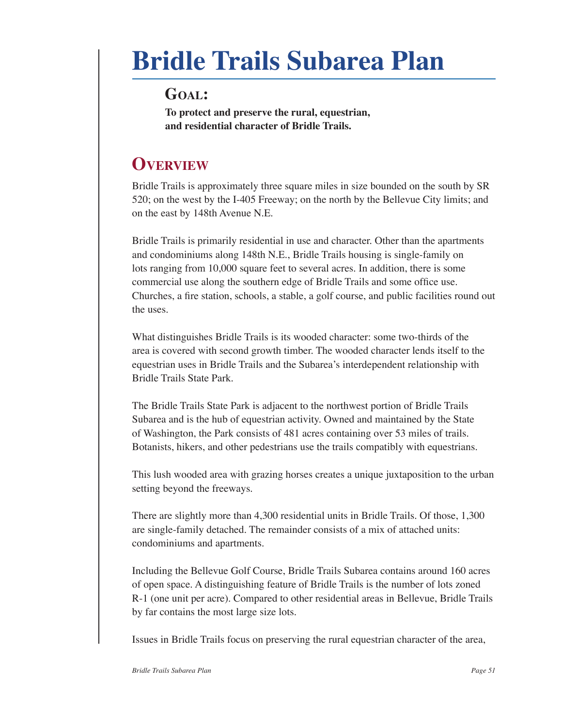# **Bridle Trails Subarea Plan**

### **Goal:**

**To protect and preserve the rural, equestrian, and residential character of Bridle Trails.**

# **Overview**

Bridle Trails is approximately three square miles in size bounded on the south by SR 520; on the west by the I‑405 Freeway; on the north by the Bellevue City limits; and on the east by 148th Avenue N.E.

Bridle Trails is primarily residential in use and character. Other than the apartments and condominiums along 148th N.E., Bridle Trails housing is single-family on lots ranging from 10,000 square feet to several acres. In addition, there is some commercial use along the southern edge of Bridle Trails and some office use. Churches, a fire station, schools, a stable, a golf course, and public facilities round out the uses.

What distinguishes Bridle Trails is its wooded character: some two-thirds of the area is covered with second growth timber. The wooded character lends itself to the equestrian uses in Bridle Trails and the Subarea's interdependent relationship with Bridle Trails State Park.

The Bridle Trails State Park is adjacent to the northwest portion of Bridle Trails Subarea and is the hub of equestrian activity. Owned and maintained by the State of Washington, the Park consists of 481 acres containing over 53 miles of trails. Botanists, hikers, and other pedestrians use the trails compatibly with equestrians.

This lush wooded area with grazing horses creates a unique juxtaposition to the urban setting beyond the freeways.

There are slightly more than 4,300 residential units in Bridle Trails. Of those, 1,300 are single-family detached. The remainder consists of a mix of attached units: condominiums and apartments.

Including the Bellevue Golf Course, Bridle Trails Subarea contains around 160 acres of open space. A distinguishing feature of Bridle Trails is the number of lots zoned R‑1 (one unit per acre). Compared to other residential areas in Bellevue, Bridle Trails by far contains the most large size lots.

Issues in Bridle Trails focus on preserving the rural equestrian character of the area,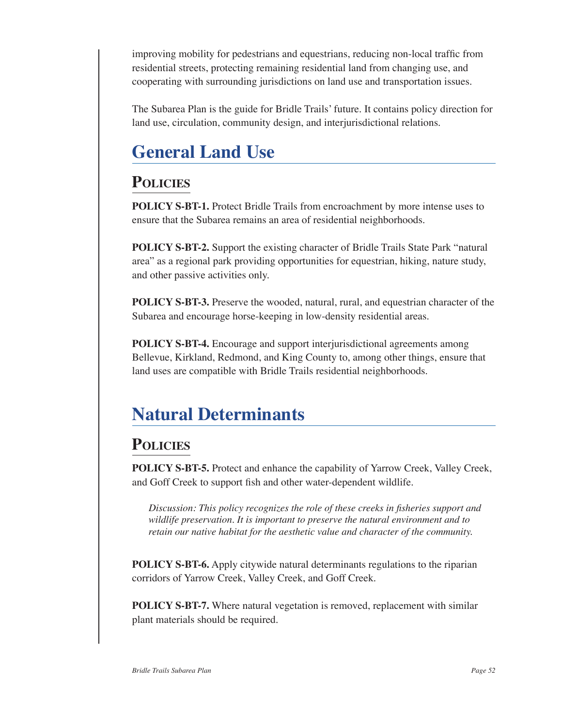improving mobility for pedestrians and equestrians, reducing non‑local traffic from residential streets, protecting remaining residential land from changing use, and cooperating with surrounding jurisdictions on land use and transportation issues.

The Subarea Plan is the guide for Bridle Trails' future. It contains policy direction for land use, circulation, community design, and interjurisdictional relations.

# **General Land Use**

### **Policies**

**POLICY S-BT-1.** Protect Bridle Trails from encroachment by more intense uses to ensure that the Subarea remains an area of residential neighborhoods.

**POLICY S-BT-2.** Support the existing character of Bridle Trails State Park "natural area" as a regional park providing opportunities for equestrian, hiking, nature study, and other passive activities only.

**POLICY S-BT-3.** Preserve the wooded, natural, rural, and equestrian character of the Subarea and encourage horse-keeping in low-density residential areas.

**POLICY S-BT-4.** Encourage and support interjurisdictional agreements among Bellevue, Kirkland, Redmond, and King County to, among other things, ensure that land uses are compatible with Bridle Trails residential neighborhoods.

# **Natural Determinants**

### **Policies**

**POLICY S-BT-5.** Protect and enhance the capability of Yarrow Creek, Valley Creek, and Goff Creek to support fish and other water‑dependent wildlife.

*Discussion: This policy recognizes the role of these creeks in fisheries support and wildlife preservation. It is important to preserve the natural environment and to retain our native habitat for the aesthetic value and character of the community.*

**POLICY S-BT-6.** Apply citywide natural determinants regulations to the riparian corridors of Yarrow Creek, Valley Creek, and Goff Creek.

**POLICY S-BT-7.** Where natural vegetation is removed, replacement with similar plant materials should be required.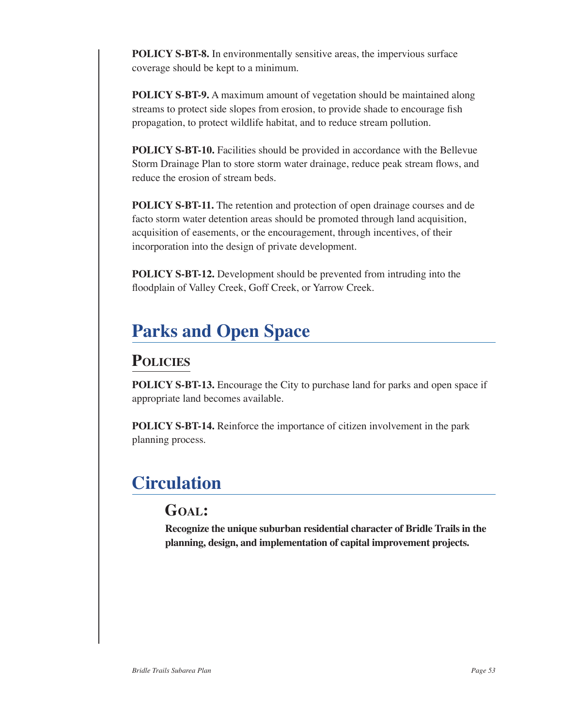**POLICY S-BT-8.** In environmentally sensitive areas, the impervious surface coverage should be kept to a minimum.

**POLICY S-BT-9.** A maximum amount of vegetation should be maintained along streams to protect side slopes from erosion, to provide shade to encourage fish propagation, to protect wildlife habitat, and to reduce stream pollution.

**POLICY S-BT-10.** Facilities should be provided in accordance with the Bellevue Storm Drainage Plan to store storm water drainage, reduce peak stream flows, and reduce the erosion of stream beds.

**POLICY S-BT-11.** The retention and protection of open drainage courses and de facto storm water detention areas should be promoted through land acquisition, acquisition of easements, or the encouragement, through incentives, of their incorporation into the design of private development.

**POLICY S-BT-12.** Development should be prevented from intruding into the floodplain of Valley Creek, Goff Creek, or Yarrow Creek.

# **Parks and Open Space**

### **Policies**

**POLICY S-BT-13.** Encourage the City to purchase land for parks and open space if appropriate land becomes available.

**POLICY S-BT-14.** Reinforce the importance of citizen involvement in the park planning process.

# **Circulation**

### **Goal:**

**Recognize the unique suburban residential character of Bridle Trails in the planning, design, and implementation of capital improvement projects.**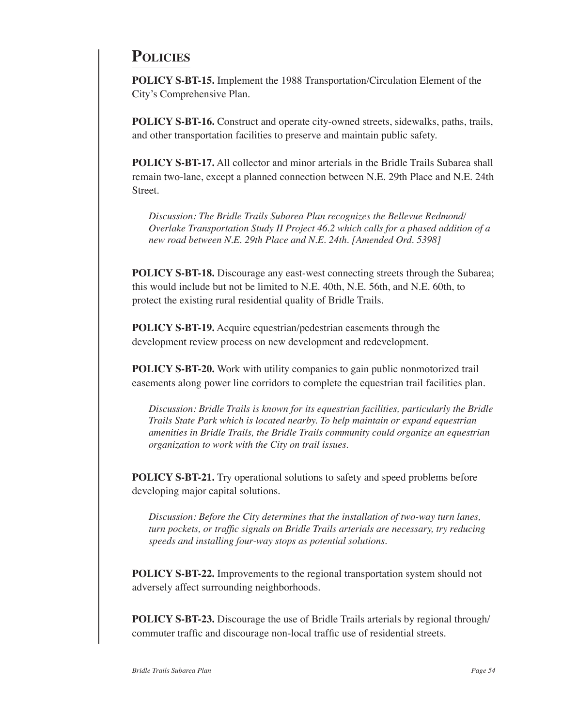### **Policies**

**POLICY S-BT-15.** Implement the 1988 Transportation/Circulation Element of the City's Comprehensive Plan.

**POLICY S-BT-16.** Construct and operate city-owned streets, sidewalks, paths, trails, and other transportation facilities to preserve and maintain public safety.

**POLICY S-BT-17.** All collector and minor arterials in the Bridle Trails Subarea shall remain two-lane, except a planned connection between N.E. 29th Place and N.E. 24th Street.

*Discussion: The Bridle Trails Subarea Plan recognizes the Bellevue Redmond/ Overlake Transportation Study II Project 46.2 which calls for a phased addition of a new road between N.E. 29th Place and N.E. 24th. [Amended Ord. 5398]*

**POLICY S-BT-18.** Discourage any east-west connecting streets through the Subarea; this would include but not be limited to N.E. 40th, N.E. 56th, and N.E. 60th, to protect the existing rural residential quality of Bridle Trails.

**POLICY S-BT-19.** Acquire equestrian/pedestrian easements through the development review process on new development and redevelopment.

**POLICY S-BT-20.** Work with utility companies to gain public nonmotorized trail easements along power line corridors to complete the equestrian trail facilities plan.

*Discussion: Bridle Trails is known for its equestrian facilities, particularly the Bridle Trails State Park which is located nearby. To help maintain or expand equestrian amenities in Bridle Trails, the Bridle Trails community could organize an equestrian organization to work with the City on trail issues.*

**POLICY S-BT-21.** Try operational solutions to safety and speed problems before developing major capital solutions.

*Discussion: Before the City determines that the installation of two-way turn lanes, turn pockets, or traffic signals on Bridle Trails arterials are necessary, try reducing speeds and installing four‑way stops as potential solutions.*

**POLICY S-BT-22.** Improvements to the regional transportation system should not adversely affect surrounding neighborhoods.

**POLICY S-BT-23.** Discourage the use of Bridle Trails arterials by regional through/ commuter traffic and discourage non‑local traffic use of residential streets.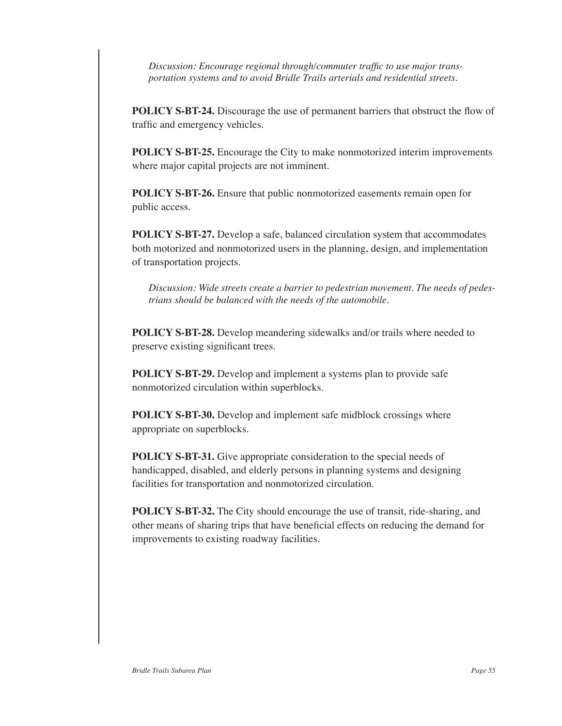*Discussion: Encourage regional through/commuter traffic to use major transportation systems and to avoid Bridle Trails arterials and residential streets.*

**POLICY S-BT-24.** Discourage the use of permanent barriers that obstruct the flow of traffic and emergency vehicles.

**POLICY S-BT-25.** Encourage the City to make nonmotorized interim improvements where major capital projects are not imminent.

**POLICY S-BT-26.** Ensure that public nonmotorized easements remain open for public access.

**POLICY S-BT-27.** Develop a safe, balanced circulation system that accommodates both motorized and nonmotorized users in the planning, design, and implementation of transportation projects.

*Discussion: Wide streets create a barrier to pedestrian movement. The needs of pedes‑ trians should be balanced with the needs of the automobile.*

**POLICY S-BT-28.** Develop meandering sidewalks and/or trails where needed to preserve existing significant trees.

**POLICY S-BT-29.** Develop and implement a systems plan to provide safe nonmotorized circulation within superblocks.

**POLICY S-BT-30.** Develop and implement safe midblock crossings where appropriate on superblocks.

**POLICY S-BT-31.** Give appropriate consideration to the special needs of handicapped, disabled, and elderly persons in planning systems and designing facilities for transportation and nonmotorized circulation.

**POLICY S-BT-32.** The City should encourage the use of transit, ride-sharing, and other means of sharing trips that have beneficial effects on reducing the demand for improvements to existing roadway facilities.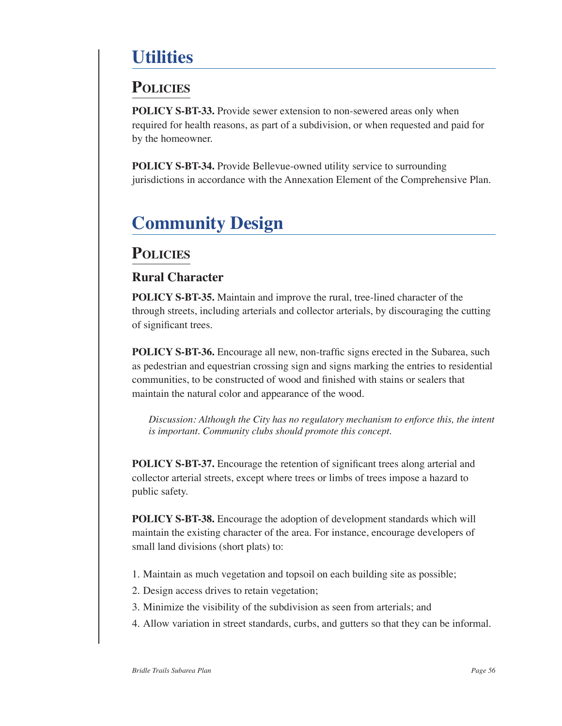# **Utilities**

### **Policies**

**POLICY S-BT-33.** Provide sewer extension to non-sewered areas only when required for health reasons, as part of a subdivision, or when requested and paid for by the homeowner.

**POLICY S-BT-34.** Provide Bellevue-owned utility service to surrounding jurisdictions in accordance with the Annexation Element of the Comprehensive Plan.

# **Community Design**

### **Policies**

#### **Rural Character**

**POLICY S-BT-35.** Maintain and improve the rural, tree-lined character of the through streets, including arterials and collector arterials, by discouraging the cutting of significant trees.

**POLICY S-BT-36.** Encourage all new, non-traffic signs erected in the Subarea, such as pedestrian and equestrian crossing sign and signs marking the entries to residential communities, to be constructed of wood and finished with stains or sealers that maintain the natural color and appearance of the wood.

*Discussion: Although the City has no regulatory mechanism to enforce this, the intent is important. Community clubs should promote this concept.*

**POLICY S-BT-37.** Encourage the retention of significant trees along arterial and collector arterial streets, except where trees or limbs of trees impose a hazard to public safety.

**POLICY S-BT-38.** Encourage the adoption of development standards which will maintain the existing character of the area. For instance, encourage developers of small land divisions (short plats) to:

- 1. Maintain as much vegetation and topsoil on each building site as possible;
- 2. Design access drives to retain vegetation;
- 3. Minimize the visibility of the subdivision as seen from arterials; and
- 4. Allow variation in street standards, curbs, and gutters so that they can be informal.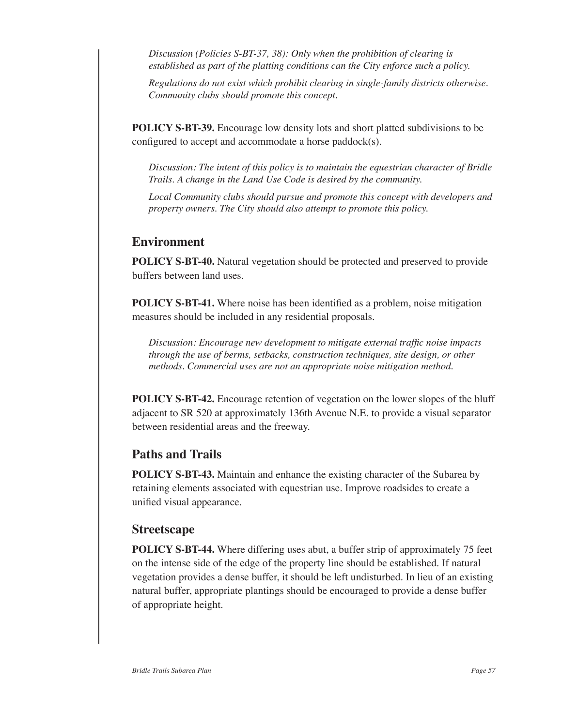*Discussion (Policies S-BT‑37, 38): Only when the prohibition of clearing is established as part of the platting conditions can the City enforce such a policy.*

*Regulations do not exist which prohibit clearing in single-family districts otherwise. Community clubs should promote this concept.*

**POLICY S-BT-39.** Encourage low density lots and short platted subdivisions to be configured to accept and accommodate a horse paddock(s).

*Discussion: The intent of this policy is to maintain the equestrian character of Bridle Trails. A change in the Land Use Code is desired by the community.*

*Local Community clubs should pursue and promote this concept with developers and property owners. The City should also attempt to promote this policy.*

#### **Environment**

**POLICY S-BT-40.** Natural vegetation should be protected and preserved to provide buffers between land uses.

**POLICY S-BT-41.** Where noise has been identified as a problem, noise mitigation measures should be included in any residential proposals.

*Discussion: Encourage new development to mitigate external traffic noise impacts through the use of berms, setbacks, construction techniques, site design, or other methods. Commercial uses are not an appropriate noise mitigation method.*

**POLICY S-BT-42.** Encourage retention of vegetation on the lower slopes of the bluff adjacent to SR 520 at approximately 136th Avenue N.E. to provide a visual separator between residential areas and the freeway.

#### **Paths and Trails**

**POLICY S-BT-43.** Maintain and enhance the existing character of the Subarea by retaining elements associated with equestrian use. Improve roadsides to create a unified visual appearance.

#### **Streetscape**

**POLICY S-BT-44.** Where differing uses abut, a buffer strip of approximately 75 feet on the intense side of the edge of the property line should be established. If natural vegetation provides a dense buffer, it should be left undisturbed. In lieu of an existing natural buffer, appropriate plantings should be encouraged to provide a dense buffer of appropriate height.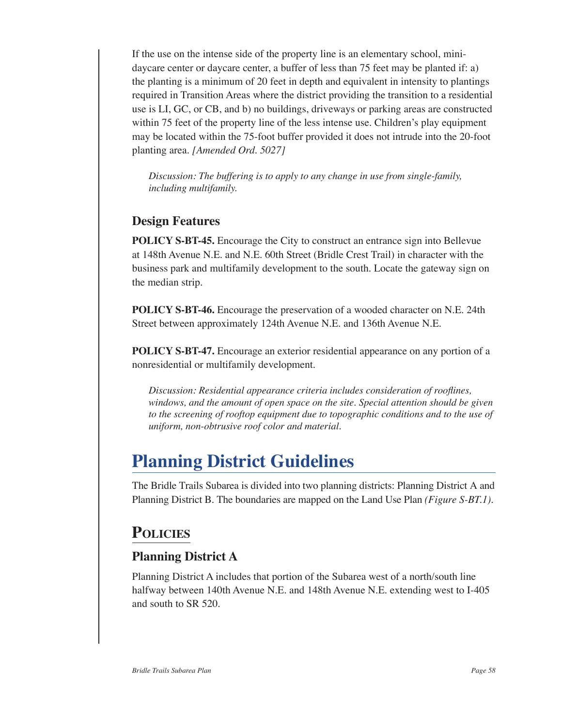If the use on the intense side of the property line is an elementary school, minidaycare center or daycare center, a buffer of less than 75 feet may be planted if: a) the planting is a minimum of 20 feet in depth and equivalent in intensity to plantings required in Transition Areas where the district providing the transition to a residential use is LI, GC, or CB, and b) no buildings, driveways or parking areas are constructed within 75 feet of the property line of the less intense use. Children's play equipment may be located within the 75-foot buffer provided it does not intrude into the 20-foot planting area. *[Amended Ord. 5027]*

*Discussion: The buffering is to apply to any change in use from single-family, including multifamily.*

### **Design Features**

**POLICY S-BT-45.** Encourage the City to construct an entrance sign into Bellevue at 148th Avenue N.E. and N.E. 60th Street (Bridle Crest Trail) in character with the business park and multifamily development to the south. Locate the gateway sign on the median strip.

**POLICY S-BT-46.** Encourage the preservation of a wooded character on N.E. 24th Street between approximately 124th Avenue N.E. and 136th Avenue N.E.

**POLICY S-BT-47.** Encourage an exterior residential appearance on any portion of a nonresidential or multifamily development.

*Discussion: Residential appearance criteria includes consideration of rooflines, windows, and the amount of open space on the site. Special attention should be given to the screening of rooftop equipment due to topographic conditions and to the use of uniform, non‑obtrusive roof color and material.*

# **Planning District Guidelines**

The Bridle Trails Subarea is divided into two planning districts: Planning District A and Planning District B. The boundaries are mapped on the Land Use Plan *(Figure S-BT.1)*.

### **Policies**

### **Planning District A**

Planning District A includes that portion of the Subarea west of a north/south line halfway between 140th Avenue N.E. and 148th Avenue N.E. extending west to I–405 and south to SR 520.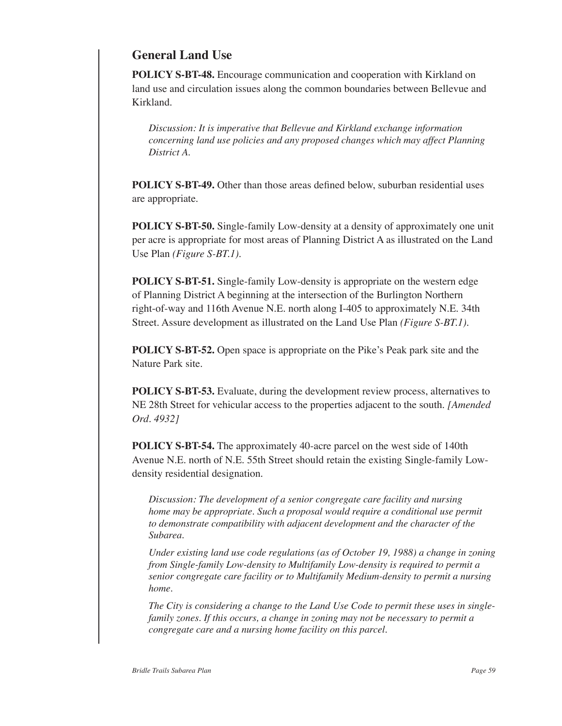#### **General Land Use**

**POLICY S-BT-48.** Encourage communication and cooperation with Kirkland on land use and circulation issues along the common boundaries between Bellevue and Kirkland.

*Discussion: It is imperative that Bellevue and Kirkland exchange information concerning land use policies and any proposed changes which may affect Planning District A.*

**POLICY S-BT-49.** Other than those areas defined below, suburban residential uses are appropriate.

**POLICY S-BT-50.** Single-family Low-density at a density of approximately one unit per acre is appropriate for most areas of Planning District A as illustrated on the Land Use Plan *(Figure S-BT.1)*.

**POLICY S-BT-51.** Single-family Low-density is appropriate on the western edge of Planning District A beginning at the intersection of the Burlington Northern right‑of‑way and 116th Avenue N.E. north along I‑405 to approximately N.E. 34th Street. Assure development as illustrated on the Land Use Plan *(Figure S-BT.1)*.

**POLICY S-BT-52.** Open space is appropriate on the Pike's Peak park site and the Nature Park site.

**POLICY S-BT-53.** Evaluate, during the development review process, alternatives to NE 28th Street for vehicular access to the properties adjacent to the south. *[Amended Ord. 4932]*

**POLICY S-BT-54.** The approximately 40‑acre parcel on the west side of 140th Avenue N.E. north of N.E. 55th Street should retain the existing Single-family Lowdensity residential designation.

*Discussion: The development of a senior congregate care facility and nursing home may be appropriate. Such a proposal would require a conditional use permit to demonstrate compatibility with adjacent development and the character of the Subarea.*

*Under existing land use code regulations (as of October 19, 1988) a change in zoning from Single-family Low-density to Multifamily Low-density is required to permit a senior congregate care facility or to Multifamily Medium-density to permit a nursing home.*

*The City is considering a change to the Land Use Code to permit these uses in singlefamily zones. If this occurs, a change in zoning may not be necessary to permit a congregate care and a nursing home facility on this parcel.*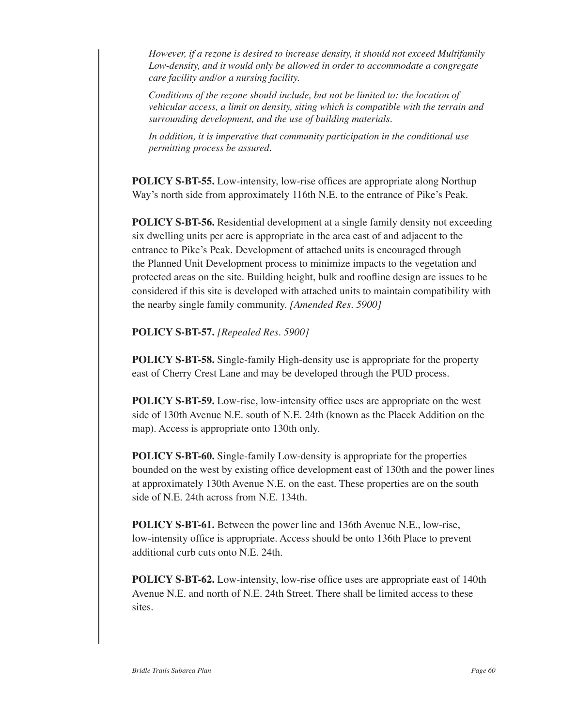*However, if a rezone is desired to increase density, it should not exceed Multifamily Low-density, and it would only be allowed in order to accommodate a congregate care facility and/or a nursing facility.*

*Conditions of the rezone should include, but not be limited to: the location of vehicular access, a limit on density, siting which is compatible with the terrain and surrounding development, and the use of building materials.*

*In addition, it is imperative that community participation in the conditional use permitting process be assured.*

**POLICY S-BT-55.** Low-intensity, low-rise offices are appropriate along Northup Way's north side from approximately 116th N.E. to the entrance of Pike's Peak.

**POLICY S-BT-56.** Residential development at a single family density not exceeding six dwelling units per acre is appropriate in the area east of and adjacent to the entrance to Pike's Peak. Development of attached units is encouraged through the Planned Unit Development process to minimize impacts to the vegetation and protected areas on the site. Building height, bulk and roofline design are issues to be considered if this site is developed with attached units to maintain compatibility with the nearby single family community. *[Amended Res. 5900]*

**POLICY S-BT-57.** *[Repealed Res. 5900]*

**POLICY S-BT-58.** Single-family High-density use is appropriate for the property east of Cherry Crest Lane and may be developed through the PUD process.

**POLICY S-BT-59.** Low-rise, low-intensity office uses are appropriate on the west side of 130th Avenue N.E. south of N.E. 24th (known as the Placek Addition on the map). Access is appropriate onto 130th only.

**POLICY S-BT-60.** Single-family Low-density is appropriate for the properties bounded on the west by existing office development east of 130th and the power lines at approximately 130th Avenue N.E. on the east. These properties are on the south side of N.E. 24th across from N.E. 134th.

**POLICY S-BT-61.** Between the power line and 136th Avenue N.E., low-rise, low-intensity office is appropriate. Access should be onto 136th Place to prevent additional curb cuts onto N.E. 24th.

**POLICY S-BT-62.** Low-intensity, low-rise office uses are appropriate east of 140th Avenue N.E. and north of N.E. 24th Street. There shall be limited access to these sites.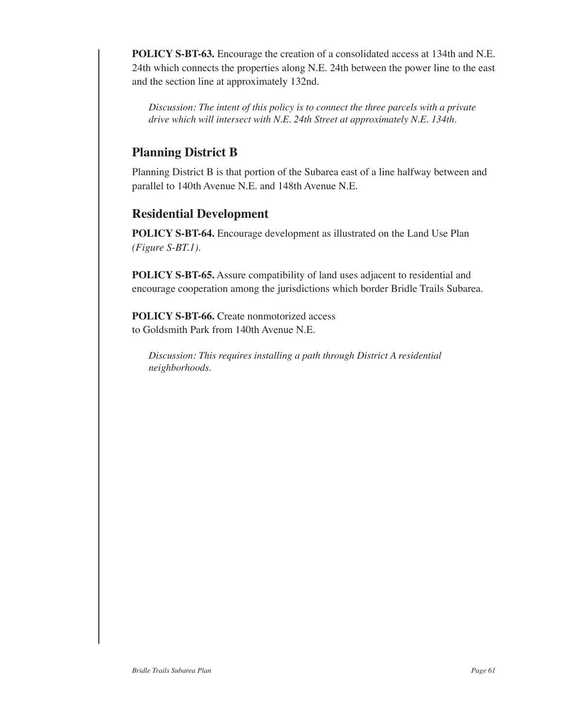**POLICY S-BT-63.** Encourage the creation of a consolidated access at 134th and N.E. 24th which connects the properties along N.E. 24th between the power line to the east and the section line at approximately 132nd.

*Discussion: The intent of this policy is to connect the three parcels with a private drive which will intersect with N.E. 24th Street at approximately N.E. 134th.*

### **Planning District B**

Planning District B is that portion of the Subarea east of a line halfway between and parallel to 140th Avenue N.E. and 148th Avenue N.E.

### **Residential Development**

**POLICY S-BT-64.** Encourage development as illustrated on the Land Use Plan *(Figure S-BT.1)*.

**POLICY S-BT-65.** Assure compatibility of land uses adjacent to residential and encourage cooperation among the jurisdictions which border Bridle Trails Subarea.

**POLICY S-BT-66.** Create nonmotorized access to Goldsmith Park from 140th Avenue N.E.

*Discussion: This requires installing a path through District A residential neighborhoods.*